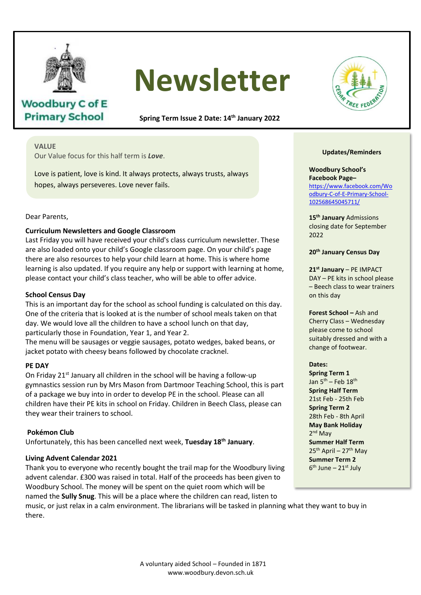

**Woodbury C of E Primary School** 

# **Newsletter**

**Spring Term Issue 2 Date: 14th January 2022**

# **VALUE**

Our Value focus for this half term is *Love*.

Love is patient, love is kind. It always protects, always trusts, always hopes, always perseveres. Love never fails.

## Dear Parents,

## **Curriculum Newsletters and Google Classroom**

Last Friday you will have received your child's class curriculum newsletter. These are also loaded onto your child's Google classroom page. On your child's page there are also resources to help your child learn at home. This is where home learning is also updated. If you require any help or support with learning at home, please contact your child's class teacher, who will be able to offer advice.

# **School Census Day**

This is an important day for the school as school funding is calculated on this day.<br>One of the criteria that is looked at is the number of school meals taken on that One of the criteria that is looked at is the number of school meals taken on that day. We would love all the children to have a school lunch on that day,  $\frac{1}{2}$ particularly those in Foundation, Year 1, and Year 2.

The menu will be sausages or veggie sausages, potato wedges, baked beans, or In the manning of the example of reggio calledges, potato in eages, and in the signal part of the signal part o

#### **PE DAY**

On Friday 21<sup>st</sup> January all children in the school will be having a follow-up gymnastics session run by Mrs Mason from Dartmoor Teaching School, this is part of a package we buy into in order to develop PE in the school. Please can all children have their PE kits in school on Friday. Children in Beech Class, please can they wear their trainers to school. *Luke* f *wear* them to

# **Pokémon Club**

Unfortunately, this has been cancelled next week, **Tuesday 18th January**.

#### **Living Advent Calendar 2021**

Thank you to everyone who recently bought the trail map for the Woodbury living advent calendar. £300 was raised in total. Half of the proceeds has been given to Woodbury School. The money will be spent on the quiet room which will be named the **Sully Snug**. This will be a place where the children can read, listen to

music, or just relax in a calm environment. The librarians will be tasked in planning what they want to buy in there.



#### **Updates/Reminders**

#### **Woodbury School's Facebook Page–** [https://www.facebook.com/Wo](https://www.facebook.com/Woodbury-C-of-E-Primary-School-102568645045711/) [odbury-C-of-E-Primary-School-](https://www.facebook.com/Woodbury-C-of-E-Primary-School-102568645045711/)[102568645045711/](https://www.facebook.com/Woodbury-C-of-E-Primary-School-102568645045711/)

**15th January** Admissions closing date for September 2022

#### **20th January Census Day**

**21st January** – PE IMPACT DAY – PE kits in school please – Beech class to wear trainers on this day

**Forest School –** Ash and Cherry Class – Wednesday please come to school suitably dressed and with a change of footwear.

#### **Dates:**

**Spring Term 1** Jan  $5^{th}$  – Feb  $18^{th}$ **Spring Half Term** 21st Feb - 25th Feb **Spring Term 2** 28th Feb - 8th April **May Bank Holiday** 2<sup>nd</sup> May **Summer Half Term**  $25<sup>th</sup>$  April – 27<sup>th</sup> May **Summer Term 2** 6<sup>th</sup> June – 21st July